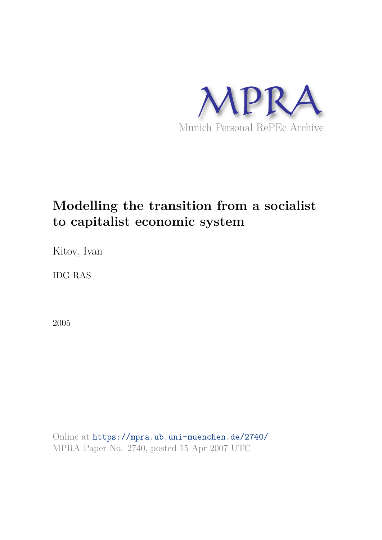

# **Modelling the transition from a socialist to capitalist economic system**

Kitov, Ivan

IDG RAS

2005

Online at https://mpra.ub.uni-muenchen.de/2740/ MPRA Paper No. 2740, posted 15 Apr 2007 UTC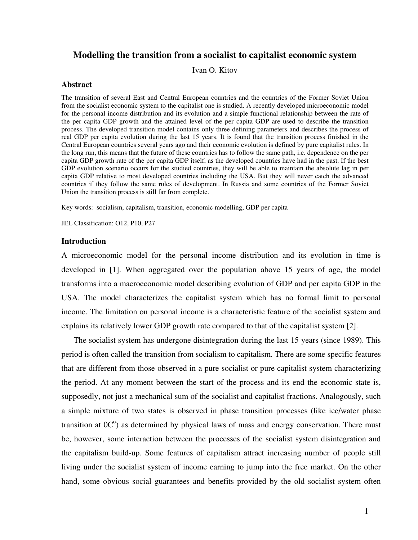### **Modelling the transition from a socialist to capitalist economic system**

Ivan O. Kitov

#### **Abstract**

The transition of several East and Central European countries and the countries of the Former Soviet Union from the socialist economic system to the capitalist one is studied. A recently developed microeconomic model for the personal income distribution and its evolution and a simple functional relationship between the rate of the per capita GDP growth and the attained level of the per capita GDP are used to describe the transition process. The developed transition model contains only three defining parameters and describes the process of real GDP per capita evolution during the last 15 years. It is found that the transition process finished in the Central European countries several years ago and their economic evolution is defined by pure capitalist rules. In the long run, this means that the future of these countries has to follow the same path, i.e. dependence on the per capita GDP growth rate of the per capita GDP itself, as the developed countries have had in the past. If the best GDP evolution scenario occurs for the studied countries, they will be able to maintain the absolute lag in per capita GDP relative to most developed countries including the USA. But they will never catch the advanced countries if they follow the same rules of development. In Russia and some countries of the Former Soviet Union the transition process is still far from complete.

Key words: socialism, capitalism, transition, economic modelling, GDP per capita

JEL Classification: O12, P10, P27

#### **Introduction**

A microeconomic model for the personal income distribution and its evolution in time is developed in [1]. When aggregated over the population above 15 years of age, the model transforms into a macroeconomic model describing evolution of GDP and per capita GDP in the USA. The model characterizes the capitalist system which has no formal limit to personal income. The limitation on personal income is a characteristic feature of the socialist system and explains its relatively lower GDP growth rate compared to that of the capitalist system [2].

The socialist system has undergone disintegration during the last 15 years (since 1989). This period is often called the transition from socialism to capitalism. There are some specific features that are different from those observed in a pure socialist or pure capitalist system characterizing the period. At any moment between the start of the process and its end the economic state is, supposedly, not just a mechanical sum of the socialist and capitalist fractions. Analogously, such a simple mixture of two states is observed in phase transition processes (like ice/water phase transition at  $0^{\circ}$ ) as determined by physical laws of mass and energy conservation. There must be, however, some interaction between the processes of the socialist system disintegration and the capitalism build-up. Some features of capitalism attract increasing number of people still living under the socialist system of income earning to jump into the free market. On the other hand, some obvious social guarantees and benefits provided by the old socialist system often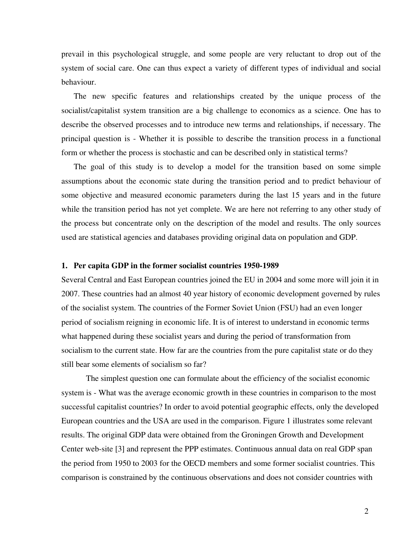prevail in this psychological struggle, and some people are very reluctant to drop out of the system of social care. One can thus expect a variety of different types of individual and social behaviour.

The new specific features and relationships created by the unique process of the socialist/capitalist system transition are a big challenge to economics as a science. One has to describe the observed processes and to introduce new terms and relationships, if necessary. The principal question is - Whether it is possible to describe the transition process in a functional form or whether the process is stochastic and can be described only in statistical terms?

The goal of this study is to develop a model for the transition based on some simple assumptions about the economic state during the transition period and to predict behaviour of some objective and measured economic parameters during the last 15 years and in the future while the transition period has not yet complete. We are here not referring to any other study of the process but concentrate only on the description of the model and results. The only sources used are statistical agencies and databases providing original data on population and GDP.

#### **1. Per capita GDP in the former socialist countries 1950-1989**

Several Central and East European countries joined the EU in 2004 and some more will join it in 2007. These countries had an almost 40 year history of economic development governed by rules of the socialist system. The countries of the Former Soviet Union (FSU) had an even longer period of socialism reigning in economic life. It is of interest to understand in economic terms what happened during these socialist years and during the period of transformation from socialism to the current state. How far are the countries from the pure capitalist state or do they still bear some elements of socialism so far?

The simplest question one can formulate about the efficiency of the socialist economic system is - What was the average economic growth in these countries in comparison to the most successful capitalist countries? In order to avoid potential geographic effects, only the developed European countries and the USA are used in the comparison. Figure 1 illustrates some relevant results. The original GDP data were obtained from the Groningen Growth and Development Center web-site [3] and represent the PPP estimates. Continuous annual data on real GDP span the period from 1950 to 2003 for the OECD members and some former socialist countries. This comparison is constrained by the continuous observations and does not consider countries with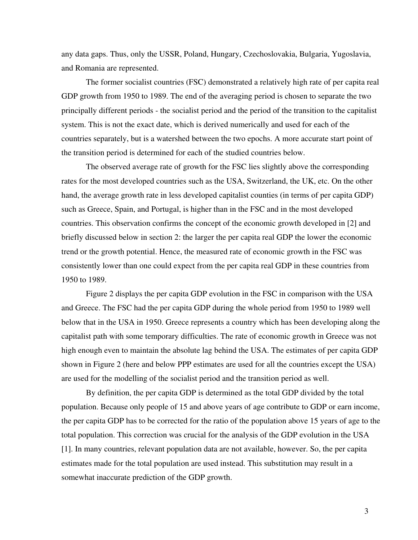any data gaps. Thus, only the USSR, Poland, Hungary, Czechoslovakia, Bulgaria, Yugoslavia, and Romania are represented.

 The former socialist countries (FSC) demonstrated a relatively high rate of per capita real GDP growth from 1950 to 1989. The end of the averaging period is chosen to separate the two principally different periods - the socialist period and the period of the transition to the capitalist system. This is not the exact date, which is derived numerically and used for each of the countries separately, but is a watershed between the two epochs. A more accurate start point of the transition period is determined for each of the studied countries below.

The observed average rate of growth for the FSC lies slightly above the corresponding rates for the most developed countries such as the USA, Switzerland, the UK, etc. On the other hand, the average growth rate in less developed capitalist counties (in terms of per capita GDP) such as Greece, Spain, and Portugal, is higher than in the FSC and in the most developed countries. This observation confirms the concept of the economic growth developed in [2] and briefly discussed below in section 2: the larger the per capita real GDP the lower the economic trend or the growth potential. Hence, the measured rate of economic growth in the FSC was consistently lower than one could expect from the per capita real GDP in these countries from 1950 to 1989.

Figure 2 displays the per capita GDP evolution in the FSC in comparison with the USA and Greece. The FSC had the per capita GDP during the whole period from 1950 to 1989 well below that in the USA in 1950. Greece represents a country which has been developing along the capitalist path with some temporary difficulties. The rate of economic growth in Greece was not high enough even to maintain the absolute lag behind the USA. The estimates of per capita GDP shown in Figure 2 (here and below PPP estimates are used for all the countries except the USA) are used for the modelling of the socialist period and the transition period as well.

By definition, the per capita GDP is determined as the total GDP divided by the total population. Because only people of 15 and above years of age contribute to GDP or earn income, the per capita GDP has to be corrected for the ratio of the population above 15 years of age to the total population. This correction was crucial for the analysis of the GDP evolution in the USA [1]. In many countries, relevant population data are not available, however. So, the per capita estimates made for the total population are used instead. This substitution may result in a somewhat inaccurate prediction of the GDP growth.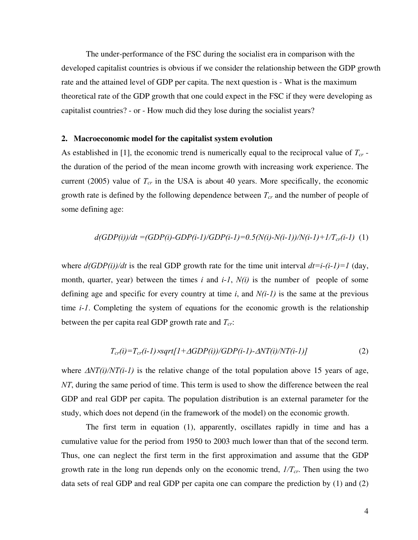The under-performance of the FSC during the socialist era in comparison with the developed capitalist countries is obvious if we consider the relationship between the GDP growth rate and the attained level of GDP per capita. The next question is - What is the maximum theoretical rate of the GDP growth that one could expect in the FSC if they were developing as capitalist countries? - or - How much did they lose during the socialist years?

#### **2. Macroeconomic model for the capitalist system evolution**

As established in [1], the economic trend is numerically equal to the reciprocal value of *Tcr* the duration of the period of the mean income growth with increasing work experience. The current (2005) value of  $T_{cr}$  in the USA is about 40 years. More specifically, the economic growth rate is defined by the following dependence between *Tcr* and the number of people of some defining age:

$$
d(GDP(i))/dt = (GDP(i)-GDP(i-1)/GDP(i-1)=0.5(N(i)-N(i-1))/N(i-1)+1/T_{cr}(i-1)
$$
 (1)

where  $d(GDP(i))/dt$  is the real GDP growth rate for the time unit interval  $dt=i-(i-1)=1$  (day, month, quarter, year) between the times *i* and *i-1*, *N(i)* is the number of people of some defining age and specific for every country at time *i*, and *N(i-1)* is the same at the previous time *i-1*. Completing the system of equations for the economic growth is the relationship between the per capita real GDP growth rate and *Tcr*:

$$
T_{cr}(i)=T_{cr}(i-1)\times\sqrt{2\pi}\left[I+\Delta GDP(i)\right]/GDP(i-1)-\Delta NT(i)/NT(i-1)]\tag{2}
$$

where  $\Delta NT(i)/NT(i-1)$  is the relative change of the total population above 15 years of age, *NT*, during the same period of time. This term is used to show the difference between the real GDP and real GDP per capita. The population distribution is an external parameter for the study, which does not depend (in the framework of the model) on the economic growth.

 The first term in equation (1), apparently, oscillates rapidly in time and has a cumulative value for the period from 1950 to 2003 much lower than that of the second term. Thus, one can neglect the first term in the first approximation and assume that the GDP growth rate in the long run depends only on the economic trend, *1/Tcr*. Then using the two data sets of real GDP and real GDP per capita one can compare the prediction by (1) and (2)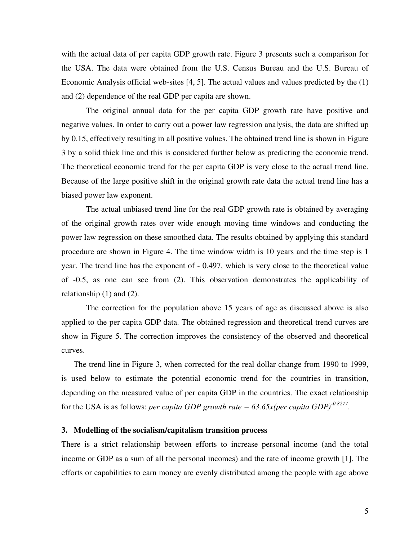with the actual data of per capita GDP growth rate. Figure 3 presents such a comparison for the USA. The data were obtained from the U.S. Census Bureau and the U.S. Bureau of Economic Analysis official web-sites [4, 5]. The actual values and values predicted by the (1) and (2) dependence of the real GDP per capita are shown.

 The original annual data for the per capita GDP growth rate have positive and negative values. In order to carry out a power law regression analysis, the data are shifted up by 0.15, effectively resulting in all positive values. The obtained trend line is shown in Figure 3 by a solid thick line and this is considered further below as predicting the economic trend. The theoretical economic trend for the per capita GDP is very close to the actual trend line. Because of the large positive shift in the original growth rate data the actual trend line has a biased power law exponent.

The actual unbiased trend line for the real GDP growth rate is obtained by averaging of the original growth rates over wide enough moving time windows and conducting the power law regression on these smoothed data. The results obtained by applying this standard procedure are shown in Figure 4. The time window width is 10 years and the time step is 1 year. The trend line has the exponent of - 0.497, which is very close to the theoretical value of -0.5, as one can see from (2). This observation demonstrates the applicability of relationship (1) and (2).

 The correction for the population above 15 years of age as discussed above is also applied to the per capita GDP data. The obtained regression and theoretical trend curves are show in Figure 5. The correction improves the consistency of the observed and theoretical curves.

The trend line in Figure 3, when corrected for the real dollar change from 1990 to 1999, is used below to estimate the potential economic trend for the countries in transition, depending on the measured value of per capita GDP in the countries. The exact relationship for the USA is as follows: *per capita GDP growth rate = 63.65x(per capita GDP)-0.8277* .

#### **3. Modelling of the socialism/capitalism transition process**

There is a strict relationship between efforts to increase personal income (and the total income or GDP as a sum of all the personal incomes) and the rate of income growth [1]. The efforts or capabilities to earn money are evenly distributed among the people with age above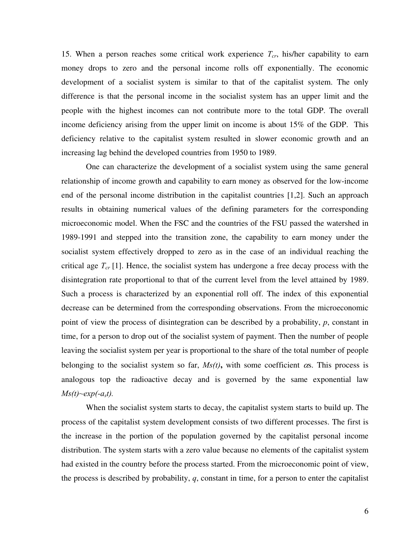15. When a person reaches some critical work experience *Tcr*, his/her capability to earn money drops to zero and the personal income rolls off exponentially. The economic development of a socialist system is similar to that of the capitalist system. The only difference is that the personal income in the socialist system has an upper limit and the people with the highest incomes can not contribute more to the total GDP. The overall income deficiency arising from the upper limit on income is about 15% of the GDP. This deficiency relative to the capitalist system resulted in slower economic growth and an increasing lag behind the developed countries from 1950 to 1989.

One can characterize the development of a socialist system using the same general relationship of income growth and capability to earn money as observed for the low-income end of the personal income distribution in the capitalist countries [1,2]. Such an approach results in obtaining numerical values of the defining parameters for the corresponding microeconomic model. When the FSC and the countries of the FSU passed the watershed in 1989-1991 and stepped into the transition zone, the capability to earn money under the socialist system effectively dropped to zero as in the case of an individual reaching the critical age *Tcr* [1]. Hence, the socialist system has undergone a free decay process with the disintegration rate proportional to that of the current level from the level attained by 1989. Such a process is characterized by an exponential roll off. The index of this exponential decrease can be determined from the corresponding observations. From the microeconomic point of view the process of disintegration can be described by a probability, *p*, constant in time, for a person to drop out of the socialist system of payment. Then the number of people leaving the socialist system per year is proportional to the share of the total number of people belonging to the socialist system so far,  $Ms(t)$ , with some coefficient  $\alpha s$ . This process is analogous top the radioactive decay and is governed by the same exponential law  $Ms(t) \sim exp(-a_s t)$ .

 When the socialist system starts to decay, the capitalist system starts to build up. The process of the capitalist system development consists of two different processes. The first is the increase in the portion of the population governed by the capitalist personal income distribution. The system starts with a zero value because no elements of the capitalist system had existed in the country before the process started. From the microeconomic point of view, the process is described by probability, *q*, constant in time, for a person to enter the capitalist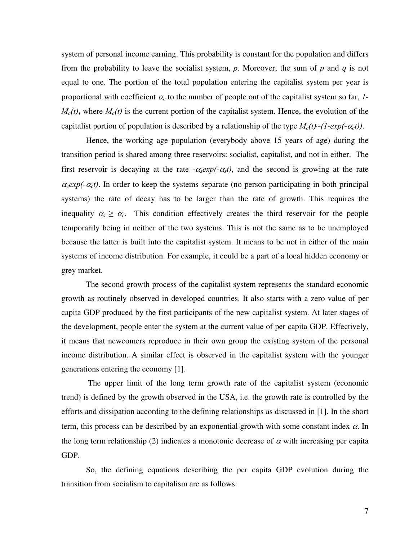system of personal income earning. This probability is constant for the population and differs from the probability to leave the socialist system, *p*. Moreover, the sum of *p* and *q* is not equal to one. The portion of the total population entering the capitalist system per year is proportional with coefficient  $\alpha_c$  to the number of people out of the capitalist system so far,  $1$ - $M_c(t)$ , where  $M_c(t)$  is the current portion of the capitalist system. Hence, the evolution of the capitalist portion of population is described by a relationship of the type  $M_c(t) \sim (1 - exp(-\alpha_c t))$ .

 Hence, the working age population (everybody above 15 years of age) during the transition period is shared among three reservoirs: socialist, capitalist, and not in either. The first reservoir is decaying at the rate  $-\alpha_s exp(-\alpha_s t)$ , and the second is growing at the rate  $\alpha_c exp(-\alpha_c t)$ . In order to keep the systems separate (no person participating in both principal systems) the rate of decay has to be larger than the rate of growth. This requires the inequality  $\alpha_s \geq \alpha_c$ . This condition effectively creates the third reservoir for the people temporarily being in neither of the two systems. This is not the same as to be unemployed because the latter is built into the capitalist system. It means to be not in either of the main systems of income distribution. For example, it could be a part of a local hidden economy or grey market.

The second growth process of the capitalist system represents the standard economic growth as routinely observed in developed countries. It also starts with a zero value of per capita GDP produced by the first participants of the new capitalist system. At later stages of the development, people enter the system at the current value of per capita GDP. Effectively, it means that newcomers reproduce in their own group the existing system of the personal income distribution. A similar effect is observed in the capitalist system with the younger generations entering the economy [1].

 The upper limit of the long term growth rate of the capitalist system (economic trend) is defined by the growth observed in the USA, i.e. the growth rate is controlled by the efforts and dissipation according to the defining relationships as discussed in [1]. In the short term, this process can be described by an exponential growth with some constant index  $\alpha$ . In the long term relationship (2) indicates a monotonic decrease of  $\alpha$  with increasing per capita GDP.

So, the defining equations describing the per capita GDP evolution during the transition from socialism to capitalism are as follows: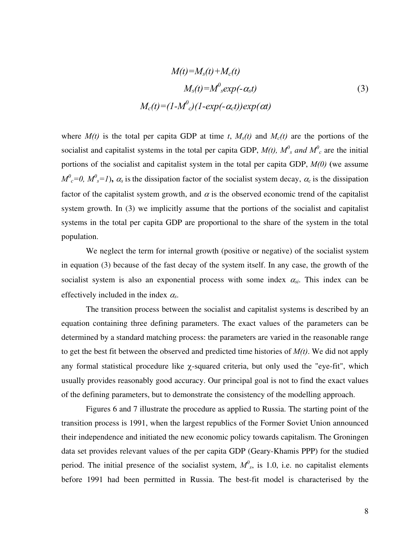$$
M(t)=M_s(t)+M_c(t)
$$
  
\n
$$
M_s(t)=M^0{}_s exp(-\alpha_s t)
$$
  
\n
$$
M_c(t)=(1-M^0{}_c)(1-exp(-\alpha_c t))exp(\alpha t)
$$
\n(3)

where  $M(t)$  is the total per capita GDP at time *t*,  $M_s(t)$  and  $M_c(t)$  are the portions of the socialist and capitalist systems in the total per capita GDP,  $M(t)$ ,  $M^0$ <sub>s</sub> and  $M^0$ <sub>c</sub> are the initial portions of the socialist and capitalist system in the total per capita GDP, *M(0)* **(**we assume  $M^0{}_c = 0$ ,  $M^0{}_s = 1$ ),  $\alpha_s$  is the dissipation factor of the socialist system decay,  $\alpha_c$  is the dissipation factor of the capitalist system growth, and  $\alpha$  is the observed economic trend of the capitalist system growth. In (3) we implicitly assume that the portions of the socialist and capitalist systems in the total per capita GDP are proportional to the share of the system in the total population.

We neglect the term for internal growth (positive or negative) of the socialist system in equation (3) because of the fast decay of the system itself. In any case, the growth of the socialist system is also an exponential process with some index  $\alpha_{si}$ . This index can be effectively included in the index <sup>α</sup>*s*.

The transition process between the socialist and capitalist systems is described by an equation containing three defining parameters. The exact values of the parameters can be determined by a standard matching process: the parameters are varied in the reasonable range to get the best fit between the observed and predicted time histories of *M(t)*. We did not apply any formal statistical procedure like  $\chi$ -squared criteria, but only used the "eye-fit", which usually provides reasonably good accuracy. Our principal goal is not to find the exact values of the defining parameters, but to demonstrate the consistency of the modelling approach.

Figures 6 and 7 illustrate the procedure as applied to Russia. The starting point of the transition process is 1991, when the largest republics of the Former Soviet Union announced their independence and initiated the new economic policy towards capitalism. The Groningen data set provides relevant values of the per capita GDP (Geary-Khamis PPP) for the studied period. The initial presence of the socialist system,  $M^0$ <sub>s</sub>, is 1.0, i.e. no capitalist elements before 1991 had been permitted in Russia. The best-fit model is characterised by the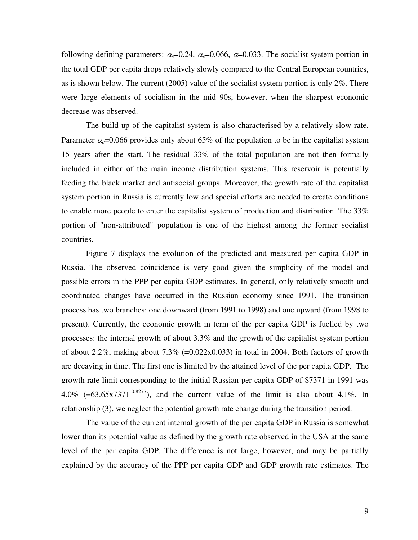following defining parameters:  $\alpha_s$ =0.24,  $\alpha_c$ =0.066,  $\alpha$ =0.033. The socialist system portion in the total GDP per capita drops relatively slowly compared to the Central European countries, as is shown below. The current  $(2005)$  value of the socialist system portion is only  $2\%$ . There were large elements of socialism in the mid 90s, however, when the sharpest economic decrease was observed.

The build-up of the capitalist system is also characterised by a relatively slow rate. Parameter  $\alpha = 0.066$  provides only about 65% of the population to be in the capitalist system 15 years after the start. The residual 33% of the total population are not then formally included in either of the main income distribution systems. This reservoir is potentially feeding the black market and antisocial groups. Moreover, the growth rate of the capitalist system portion in Russia is currently low and special efforts are needed to create conditions to enable more people to enter the capitalist system of production and distribution. The 33% portion of "non-attributed" population is one of the highest among the former socialist countries.

Figure 7 displays the evolution of the predicted and measured per capita GDP in Russia. The observed coincidence is very good given the simplicity of the model and possible errors in the PPP per capita GDP estimates. In general, only relatively smooth and coordinated changes have occurred in the Russian economy since 1991. The transition process has two branches: one downward (from 1991 to 1998) and one upward (from 1998 to present). Currently, the economic growth in term of the per capita GDP is fuelled by two processes: the internal growth of about 3.3% and the growth of the capitalist system portion of about 2.2%, making about  $7.3\%$  (=0.022x0.033) in total in 2004. Both factors of growth are decaying in time. The first one is limited by the attained level of the per capita GDP. The growth rate limit corresponding to the initial Russian per capita GDP of \$7371 in 1991 was 4.0% (=63.65x7371<sup>-0.8277</sup>), and the current value of the limit is also about 4.1%. In relationship (3), we neglect the potential growth rate change during the transition period.

The value of the current internal growth of the per capita GDP in Russia is somewhat lower than its potential value as defined by the growth rate observed in the USA at the same level of the per capita GDP. The difference is not large, however, and may be partially explained by the accuracy of the PPP per capita GDP and GDP growth rate estimates. The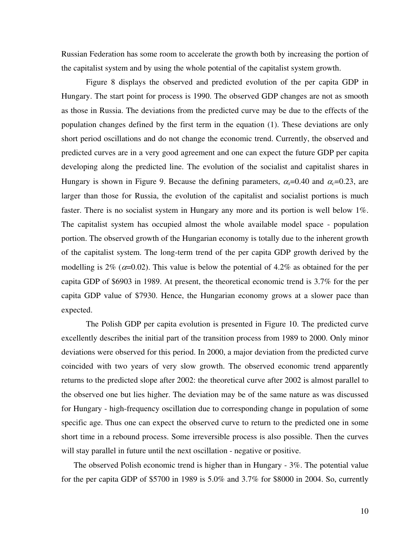Russian Federation has some room to accelerate the growth both by increasing the portion of the capitalist system and by using the whole potential of the capitalist system growth.

Figure 8 displays the observed and predicted evolution of the per capita GDP in Hungary. The start point for process is 1990. The observed GDP changes are not as smooth as those in Russia. The deviations from the predicted curve may be due to the effects of the population changes defined by the first term in the equation (1). These deviations are only short period oscillations and do not change the economic trend. Currently, the observed and predicted curves are in a very good agreement and one can expect the future GDP per capita developing along the predicted line. The evolution of the socialist and capitalist shares in Hungary is shown in Figure 9. Because the defining parameters,  $\alpha_s = 0.40$  and  $\alpha_c = 0.23$ , are larger than those for Russia, the evolution of the capitalist and socialist portions is much faster. There is no socialist system in Hungary any more and its portion is well below 1%. The capitalist system has occupied almost the whole available model space - population portion. The observed growth of the Hungarian economy is totally due to the inherent growth of the capitalist system. The long-term trend of the per capita GDP growth derived by the modelling is 2% ( $\alpha$ =0.02). This value is below the potential of 4.2% as obtained for the per capita GDP of \$6903 in 1989. At present, the theoretical economic trend is 3.7% for the per capita GDP value of \$7930. Hence, the Hungarian economy grows at a slower pace than expected.

The Polish GDP per capita evolution is presented in Figure 10. The predicted curve excellently describes the initial part of the transition process from 1989 to 2000. Only minor deviations were observed for this period. In 2000, a major deviation from the predicted curve coincided with two years of very slow growth. The observed economic trend apparently returns to the predicted slope after 2002: the theoretical curve after 2002 is almost parallel to the observed one but lies higher. The deviation may be of the same nature as was discussed for Hungary - high-frequency oscillation due to corresponding change in population of some specific age. Thus one can expect the observed curve to return to the predicted one in some short time in a rebound process. Some irreversible process is also possible. Then the curves will stay parallel in future until the next oscillation - negative or positive.

The observed Polish economic trend is higher than in Hungary - 3%. The potential value for the per capita GDP of \$5700 in 1989 is 5.0% and 3.7% for \$8000 in 2004. So, currently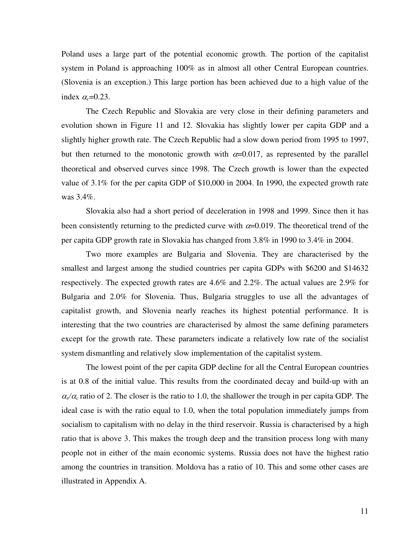Poland uses a large part of the potential economic growth. The portion of the capitalist system in Poland is approaching 100% as in almost all other Central European countries. (Slovenia is an exception.) This large portion has been achieved due to a high value of the index  $\alpha_c = 0.23$ .

 The Czech Republic and Slovakia are very close in their defining parameters and evolution shown in Figure 11 and 12. Slovakia has slightly lower per capita GDP and a slightly higher growth rate. The Czech Republic had a slow down period from 1995 to 1997, but then returned to the monotonic growth with  $\alpha$ =0.017, as represented by the parallel theoretical and observed curves since 1998. The Czech growth is lower than the expected value of 3.1% for the per capita GDP of \$10,000 in 2004. In 1990, the expected growth rate was 3.4%.

Slovakia also had a short period of deceleration in 1998 and 1999. Since then it has been consistently returning to the predicted curve with  $\alpha$ =0.019. The theoretical trend of the per capita GDP growth rate in Slovakia has changed from 3.8% in 1990 to 3.4% in 2004.

Two more examples are Bulgaria and Slovenia. They are characterised by the smallest and largest among the studied countries per capita GDPs with \$6200 and \$14632 respectively. The expected growth rates are 4.6% and 2.2%. The actual values are 2.9% for Bulgaria and 2.0% for Slovenia. Thus, Bulgaria struggles to use all the advantages of capitalist growth, and Slovenia nearly reaches its highest potential performance. It is interesting that the two countries are characterised by almost the same defining parameters except for the growth rate. These parameters indicate a relatively low rate of the socialist system dismantling and relatively slow implementation of the capitalist system.

The lowest point of the per capita GDP decline for all the Central European countries is at 0.8 of the initial value. This results from the coordinated decay and build-up with an  $\alpha$ <sub>*s*</sub>/ $\alpha$ <sub>*c*</sub> ratio of 2. The closer is the ratio to 1.0, the shallower the trough in per capita GDP. The ideal case is with the ratio equal to 1.0, when the total population immediately jumps from socialism to capitalism with no delay in the third reservoir. Russia is characterised by a high ratio that is above 3. This makes the trough deep and the transition process long with many people not in either of the main economic systems. Russia does not have the highest ratio among the countries in transition. Moldova has a ratio of 10. This and some other cases are illustrated in Appendix A.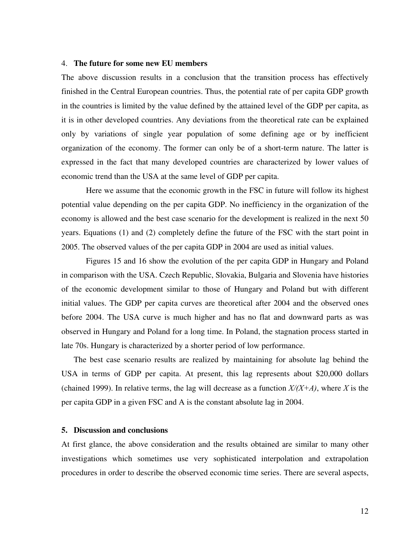#### 4. **The future for some new EU members**

The above discussion results in a conclusion that the transition process has effectively finished in the Central European countries. Thus, the potential rate of per capita GDP growth in the countries is limited by the value defined by the attained level of the GDP per capita, as it is in other developed countries. Any deviations from the theoretical rate can be explained only by variations of single year population of some defining age or by inefficient organization of the economy. The former can only be of a short-term nature. The latter is expressed in the fact that many developed countries are characterized by lower values of economic trend than the USA at the same level of GDP per capita.

 Here we assume that the economic growth in the FSC in future will follow its highest potential value depending on the per capita GDP. No inefficiency in the organization of the economy is allowed and the best case scenario for the development is realized in the next 50 years. Equations (1) and (2) completely define the future of the FSC with the start point in 2005. The observed values of the per capita GDP in 2004 are used as initial values.

Figures 15 and 16 show the evolution of the per capita GDP in Hungary and Poland in comparison with the USA. Czech Republic, Slovakia, Bulgaria and Slovenia have histories of the economic development similar to those of Hungary and Poland but with different initial values. The GDP per capita curves are theoretical after 2004 and the observed ones before 2004. The USA curve is much higher and has no flat and downward parts as was observed in Hungary and Poland for a long time. In Poland, the stagnation process started in late 70s. Hungary is characterized by a shorter period of low performance.

The best case scenario results are realized by maintaining for absolute lag behind the USA in terms of GDP per capita. At present, this lag represents about \$20,000 dollars (chained 1999). In relative terms, the lag will decrease as a function *X/(X+A)*, where *X* is the per capita GDP in a given FSC and A is the constant absolute lag in 2004.

#### **5. Discussion and conclusions**

At first glance, the above consideration and the results obtained are similar to many other investigations which sometimes use very sophisticated interpolation and extrapolation procedures in order to describe the observed economic time series. There are several aspects,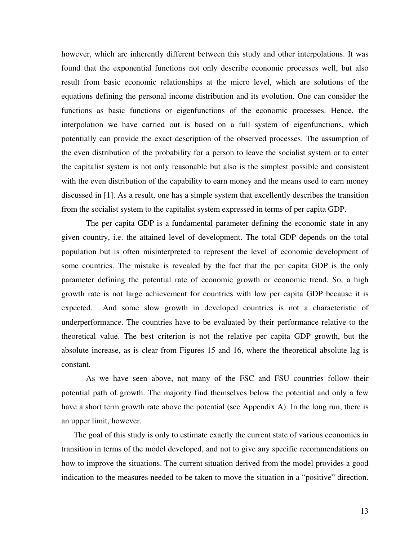however, which are inherently different between this study and other interpolations. It was found that the exponential functions not only describe economic processes well, but also result from basic economic relationships at the micro level, which are solutions of the equations defining the personal income distribution and its evolution. One can consider the functions as basic functions or eigenfunctions of the economic processes. Hence, the interpolation we have carried out is based on a full system of eigenfunctions, which potentially can provide the exact description of the observed processes. The assumption of the even distribution of the probability for a person to leave the socialist system or to enter the capitalist system is not only reasonable but also is the simplest possible and consistent with the even distribution of the capability to earn money and the means used to earn money discussed in [1]. As a result, one has a simple system that excellently describes the transition from the socialist system to the capitalist system expressed in terms of per capita GDP.

The per capita GDP is a fundamental parameter defining the economic state in any given country, i.e. the attained level of development. The total GDP depends on the total population but is often misinterpreted to represent the level of economic development of some countries. The mistake is revealed by the fact that the per capita GDP is the only parameter defining the potential rate of economic growth or economic trend. So, a high growth rate is not large achievement for countries with low per capita GDP because it is expected. And some slow growth in developed countries is not a characteristic of underperformance. The countries have to be evaluated by their performance relative to the theoretical value. The best criterion is not the relative per capita GDP growth, but the absolute increase, as is clear from Figures 15 and 16, where the theoretical absolute lag is constant.

As we have seen above, not many of the FSC and FSU countries follow their potential path of growth. The majority find themselves below the potential and only a few have a short term growth rate above the potential (see Appendix A). In the long run, there is an upper limit, however.

The goal of this study is only to estimate exactly the current state of various economies in transition in terms of the model developed, and not to give any specific recommendations on how to improve the situations. The current situation derived from the model provides a good indication to the measures needed to be taken to move the situation in a "positive" direction.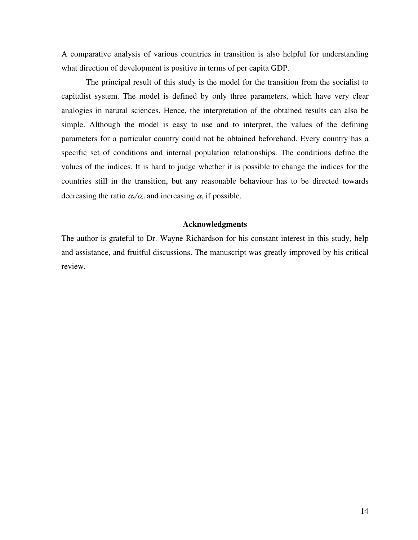A comparative analysis of various countries in transition is also helpful for understanding what direction of development is positive in terms of per capita GDP.

The principal result of this study is the model for the transition from the socialist to capitalist system. The model is defined by only three parameters, which have very clear analogies in natural sciences. Hence, the interpretation of the obtained results can also be simple. Although the model is easy to use and to interpret, the values of the defining parameters for a particular country could not be obtained beforehand. Every country has a specific set of conditions and internal population relationships. The conditions define the values of the indices. It is hard to judge whether it is possible to change the indices for the countries still in the transition, but any reasonable behaviour has to be directed towards decreasing the ratio  $\alpha_s/\alpha_c$  and increasing  $\alpha$ , if possible.

#### **Acknowledgments**

The author is grateful to Dr. Wayne Richardson for his constant interest in this study, help and assistance, and fruitful discussions. The manuscript was greatly improved by his critical review.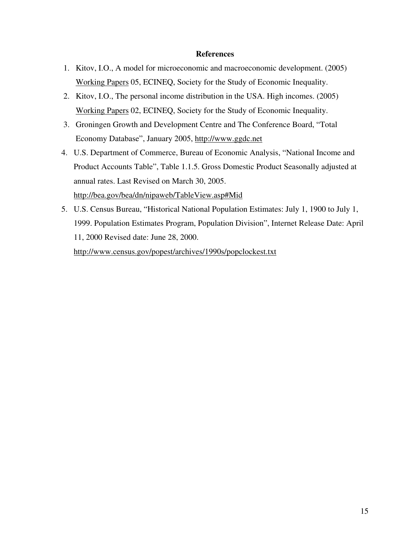#### **References**

- 1. Kitov, I.O., A model for microeconomic and macroeconomic development. (2005) Working Papers 05, ECINEQ, Society for the Study of Economic Inequality.
- 2. Kitov, I.O., The personal income distribution in the USA. High incomes. (2005) Working Papers 02, ECINEQ, Society for the Study of Economic Inequality.
- 3. Groningen Growth and Development Centre and The Conference Board, "Total Economy Database", January 2005, http://www.ggdc.net
- 4. U.S. Department of Commerce, Bureau of Economic Analysis, "National Income and Product Accounts Table", Table 1.1.5. Gross Domestic Product Seasonally adjusted at annual rates. Last Revised on March 30, 2005.

http://bea.gov/bea/dn/nipaweb/TableView.asp#Mid

5. U.S. Census Bureau, "Historical National Population Estimates: July 1, 1900 to July 1, 1999. Population Estimates Program, Population Division", Internet Release Date: April 11, 2000 Revised date: June 28, 2000.

http://www.census.gov/popest/archives/1990s/popclockest.txt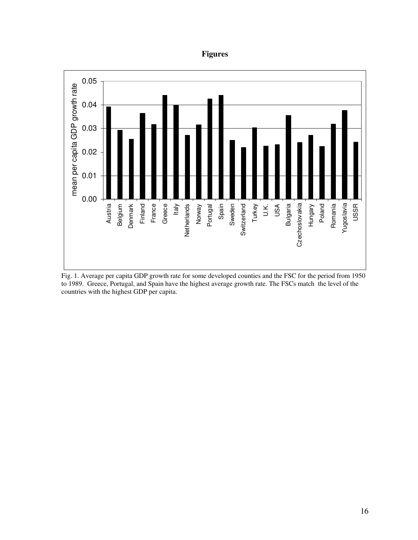## **Figures**



Fig. 1. Average per capita GDP growth rate for some developed counties and the FSC for the period from 1950 to 1989. Greece, Portugal, and Spain have the highest average growth rate. The FSCs match the level of the countries with the highest GDP per capita.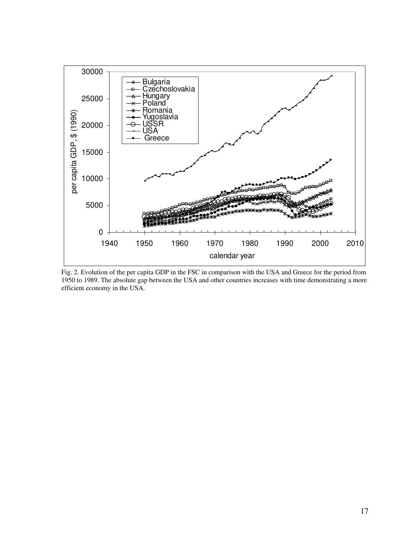

Fig. 2. Evolution of the per capita GDP in the FSC in comparison with the USA and Greece for the period from 1950 to 1989. The absolute gap between the USA and other countries increases with time demonstrating a more efficient economy in the USA.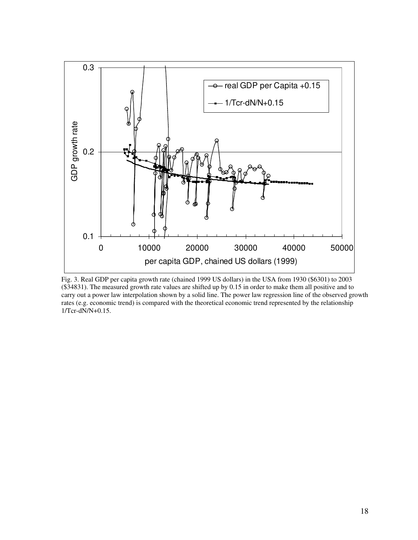

Fig. 3. Real GDP per capita growth rate (chained 1999 US dollars) in the USA from 1930 (\$6301) to 2003 (\$34831). The measured growth rate values are shifted up by 0.15 in order to make them all positive and to carry out a power law interpolation shown by a solid line. The power law regression line of the observed growth rates (e.g. economic trend) is compared with the theoretical economic trend represented by the relationship 1/Tcr-dN/N+0.15.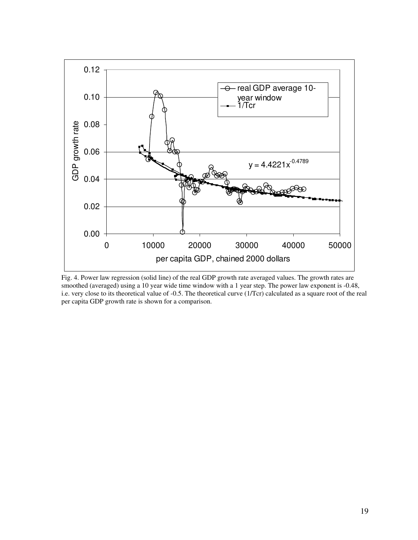

Fig. 4. Power law regression (solid line) of the real GDP growth rate averaged values. The growth rates are smoothed (averaged) using a 10 year wide time window with a 1 year step. The power law exponent is -0.48, i.e. very close to its theoretical value of -0.5. The theoretical curve (1/Tcr) calculated as a square root of the real per capita GDP growth rate is shown for a comparison.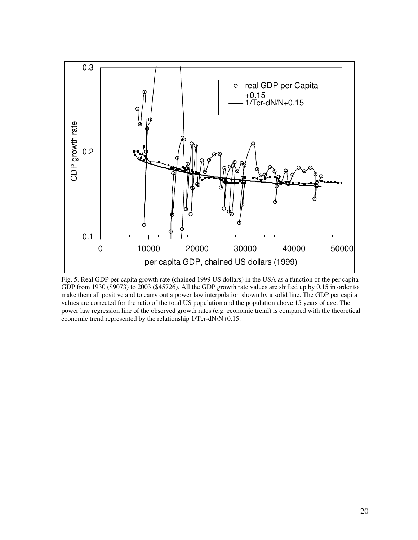

Fig. 5. Real GDP per capita growth rate (chained 1999 US dollars) in the USA as a function of the per capita GDP from 1930 (\$9073) to 2003 (\$45726). All the GDP growth rate values are shifted up by 0.15 in order to make them all positive and to carry out a power law interpolation shown by a solid line. The GDP per capita values are corrected for the ratio of the total US population and the population above 15 years of age. The power law regression line of the observed growth rates (e.g. economic trend) is compared with the theoretical economic trend represented by the relationship 1/Tcr-dN/N+0.15.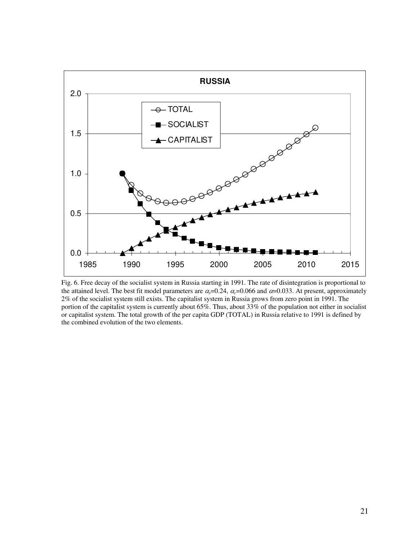

Fig. 6. Free decay of the socialist system in Russia starting in 1991. The rate of disintegration is proportional to the attained level. The best fit model parameters are  $\alpha_s = 0.24$ ,  $\alpha_c = 0.066$  and  $\alpha = 0.033$ . At present, approximately 2% of the socialist system still exists. The capitalist system in Russia grows from zero point in 1991. The portion of the capitalist system is currently about 65%. Thus, about 33% of the population not either in socialist or capitalist system. The total growth of the per capita GDP (TOTAL) in Russia relative to 1991 is defined by the combined evolution of the two elements.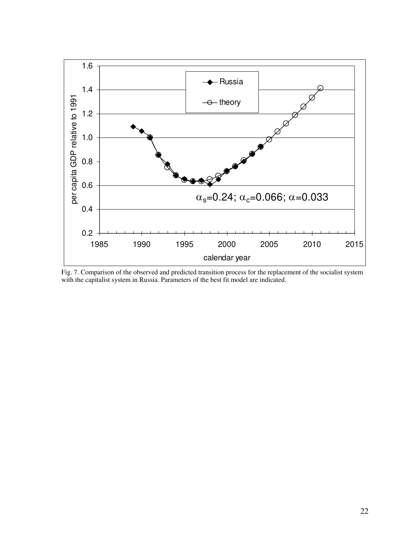

Fig. 7. Comparison of the observed and predicted transition process for the replacement of the socialist system with the capitalist system in Russia. Parameters of the best fit model are indicated.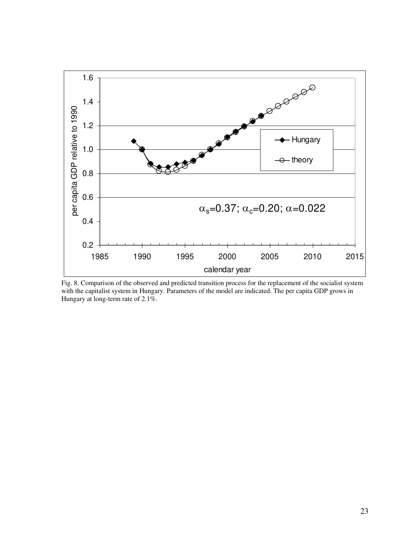

Fig. 8. Comparison of the observed and predicted transition process for the replacement of the socialist system with the capitalist system in Hungary. Parameters of the model are indicated. The per capita GDP grows in Hungary at long-term rate of 2.1%.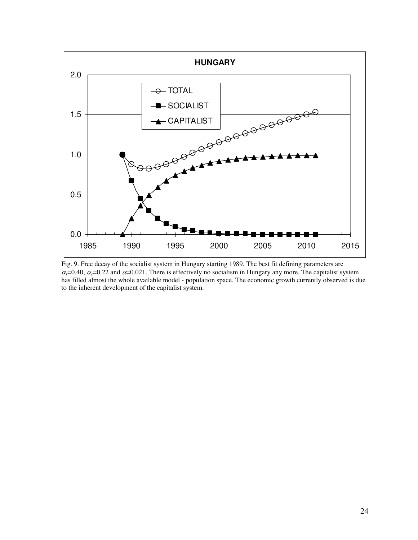

Fig. 9. Free decay of the socialist system in Hungary starting 1989. The best fit defining parameters are  $\alpha_s$ =0.40,  $\alpha_c$ =0.22 and  $\alpha$ =0.021. There is effectively no socialism in Hungary any more. The capitalist system has filled almost the whole available model - population space. The economic growth currently observed is due to the inherent development of the capitalist system.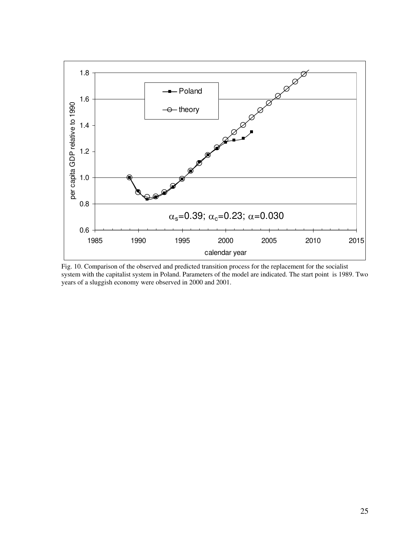

Fig. 10. Comparison of the observed and predicted transition process for the replacement for the socialist system with the capitalist system in Poland. Parameters of the model are indicated. The start point is 1989. Two years of a sluggish economy were observed in 2000 and 2001.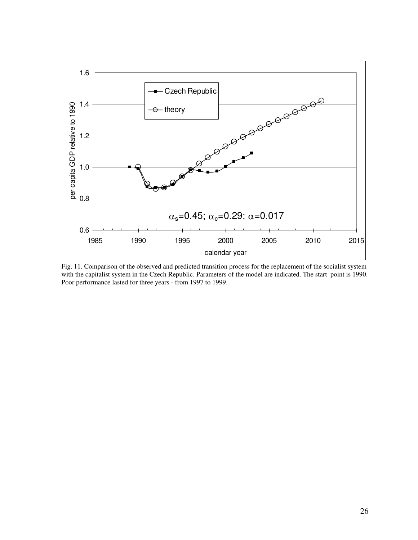

Fig. 11. Comparison of the observed and predicted transition process for the replacement of the socialist system with the capitalist system in the Czech Republic. Parameters of the model are indicated. The start point is 1990. Poor performance lasted for three years - from 1997 to 1999.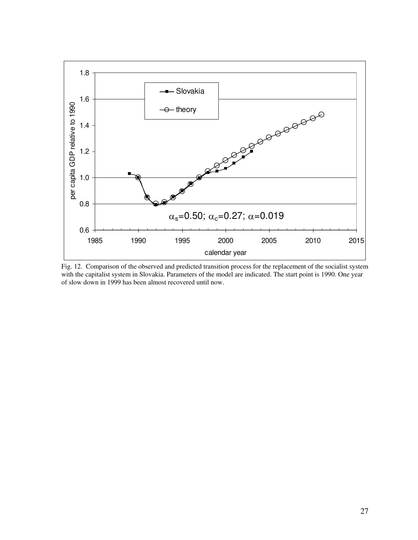

Fig. 12. Comparison of the observed and predicted transition process for the replacement of the socialist system with the capitalist system in Slovakia. Parameters of the model are indicated. The start point is 1990. One year of slow down in 1999 has been almost recovered until now.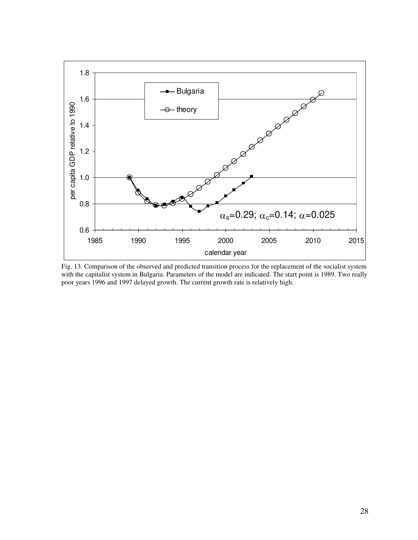

Fig. 13. Comparison of the observed and predicted transition process for the replacement of the socialist system with the capitalist system in Bulgaria. Parameters of the model are indicated. The start point is 1989. Two really poor years 1996 and 1997 delayed growth. The current growth rate is relatively high.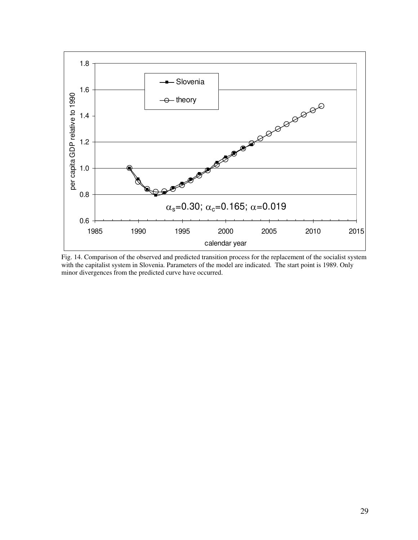

Fig. 14. Comparison of the observed and predicted transition process for the replacement of the socialist system with the capitalist system in Slovenia. Parameters of the model are indicated. The start point is 1989. Only minor divergences from the predicted curve have occurred.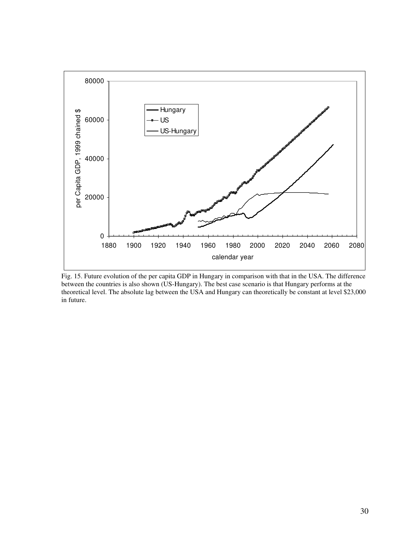

Fig. 15. Future evolution of the per capita GDP in Hungary in comparison with that in the USA. The difference between the countries is also shown (US-Hungary). The best case scenario is that Hungary performs at the theoretical level. The absolute lag between the USA and Hungary can theoretically be constant at level \$23,000 in future.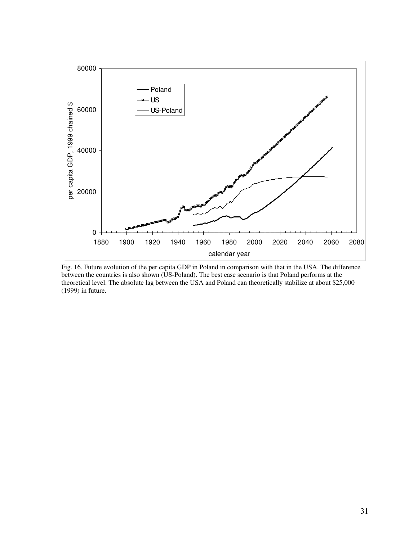

Fig. 16. Future evolution of the per capita GDP in Poland in comparison with that in the USA. The difference between the countries is also shown (US-Poland). The best case scenario is that Poland performs at the theoretical level. The absolute lag between the USA and Poland can theoretically stabilize at about \$25,000 (1999) in future.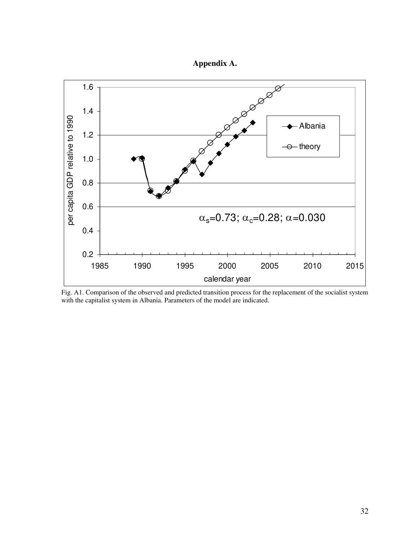



Fig. A1. Comparison of the observed and predicted transition process for the replacement of the socialist system with the capitalist system in Albania. Parameters of the model are indicated.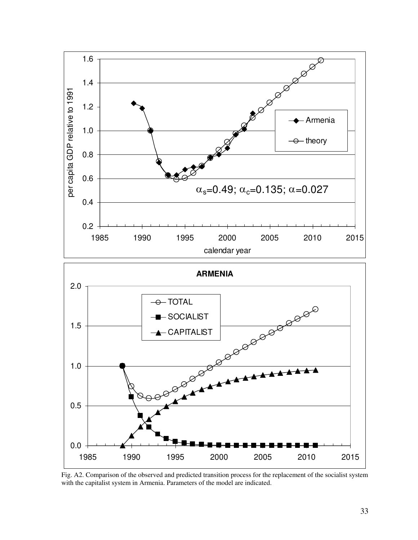

Fig. A2. Comparison of the observed and predicted transition process for the replacement of the socialist system with the capitalist system in Armenia. Parameters of the model are indicated.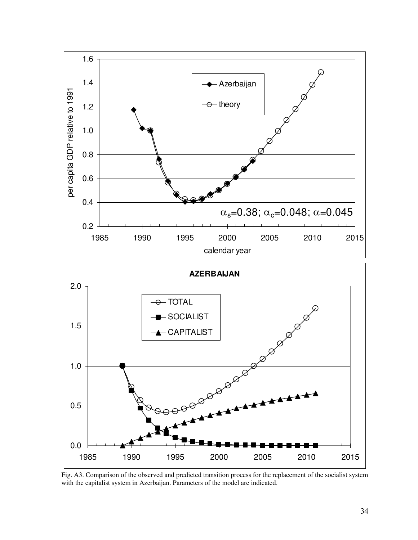

Fig. A3. Comparison of the observed and predicted transition process for the replacement of the socialist system with the capitalist system in Azerbaijan. Parameters of the model are indicated.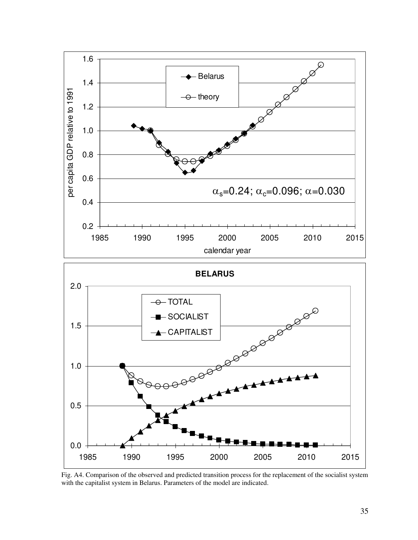

Fig. A4. Comparison of the observed and predicted transition process for the replacement of the socialist system with the capitalist system in Belarus. Parameters of the model are indicated.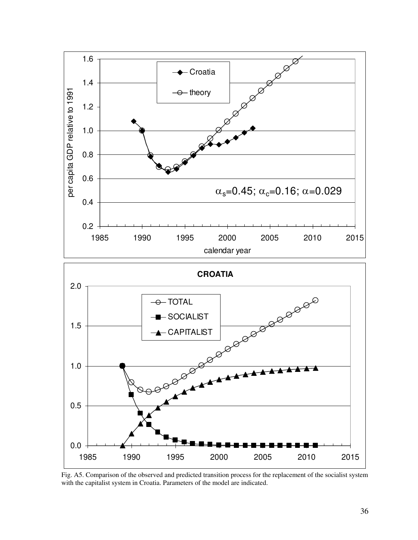

Fig. A5. Comparison of the observed and predicted transition process for the replacement of the socialist system with the capitalist system in Croatia. Parameters of the model are indicated.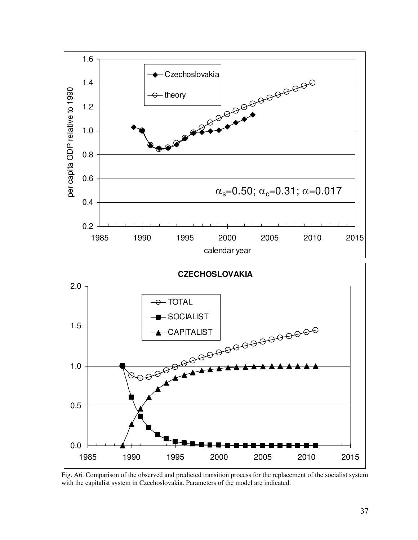

Fig. A6. Comparison of the observed and predicted transition process for the replacement of the socialist system with the capitalist system in Czechoslovakia. Parameters of the model are indicated.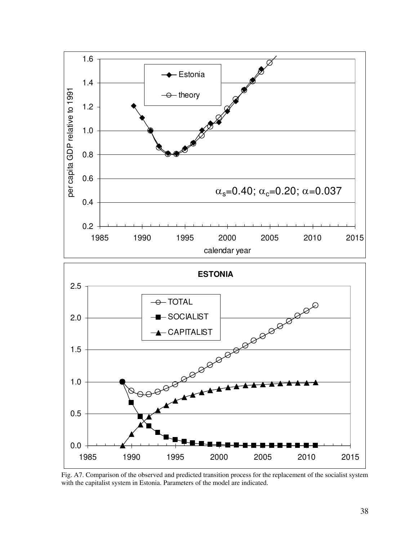

Fig. A7. Comparison of the observed and predicted transition process for the replacement of the socialist system with the capitalist system in Estonia. Parameters of the model are indicated.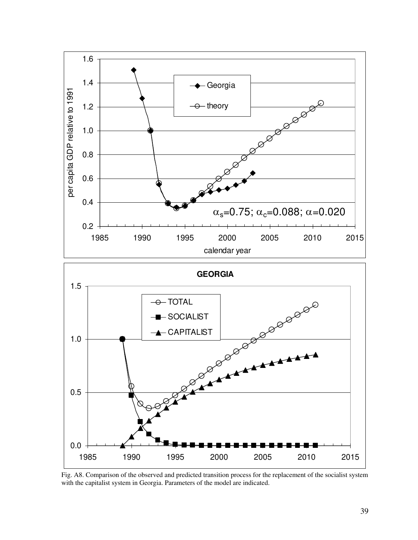

Fig. A8. Comparison of the observed and predicted transition process for the replacement of the socialist system with the capitalist system in Georgia. Parameters of the model are indicated.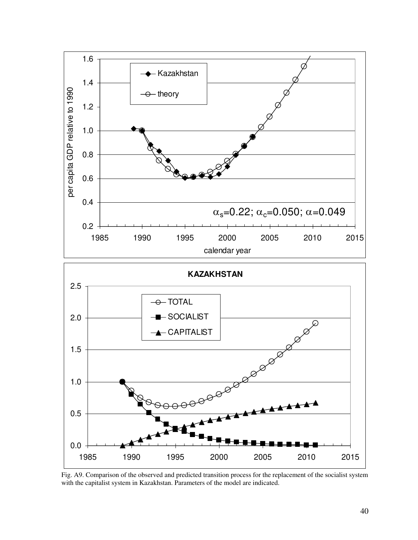

Fig. A9. Comparison of the observed and predicted transition process for the replacement of the socialist system with the capitalist system in Kazakhstan. Parameters of the model are indicated.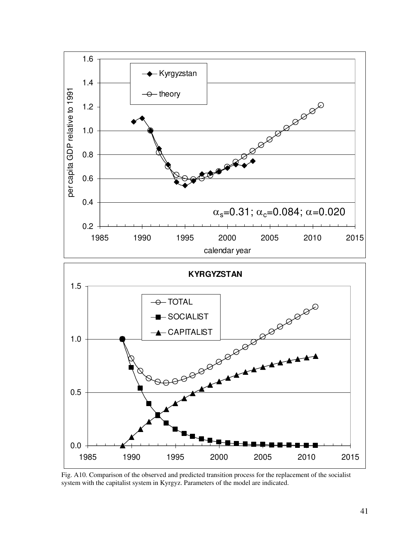

Fig. A10. Comparison of the observed and predicted transition process for the replacement of the socialist system with the capitalist system in Kyrgyz. Parameters of the model are indicated.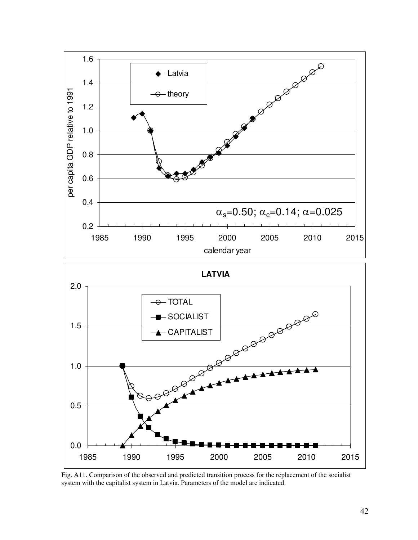

Fig. A11. Comparison of the observed and predicted transition process for the replacement of the socialist system with the capitalist system in Latvia. Parameters of the model are indicated.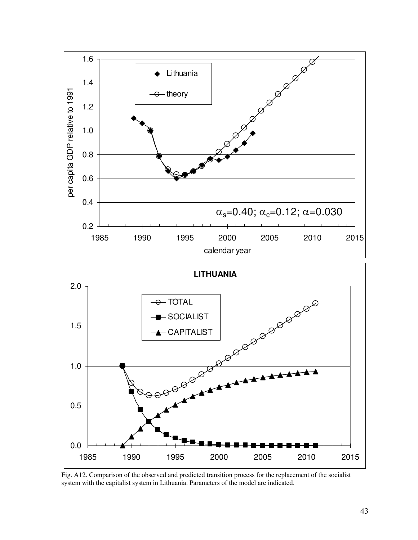

Fig. A12. Comparison of the observed and predicted transition process for the replacement of the socialist system with the capitalist system in Lithuania. Parameters of the model are indicated.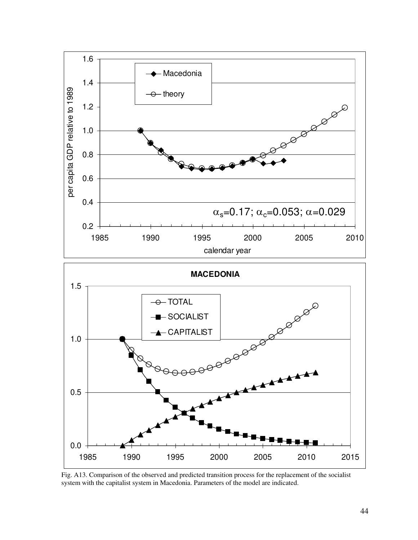

Fig. A13. Comparison of the observed and predicted transition process for the replacement of the socialist system with the capitalist system in Macedonia. Parameters of the model are indicated.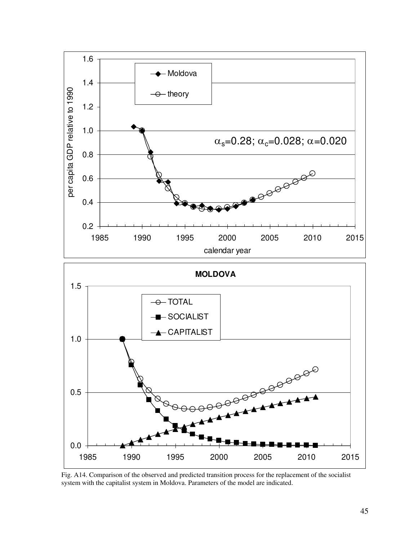

Fig. A14. Comparison of the observed and predicted transition process for the replacement of the socialist system with the capitalist system in Moldova. Parameters of the model are indicated.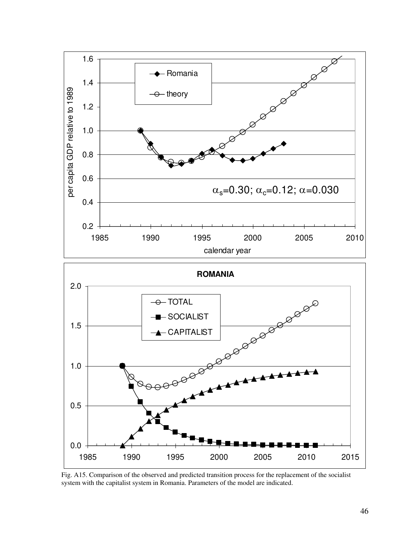

Fig. A15. Comparison of the observed and predicted transition process for the replacement of the socialist system with the capitalist system in Romania. Parameters of the model are indicated.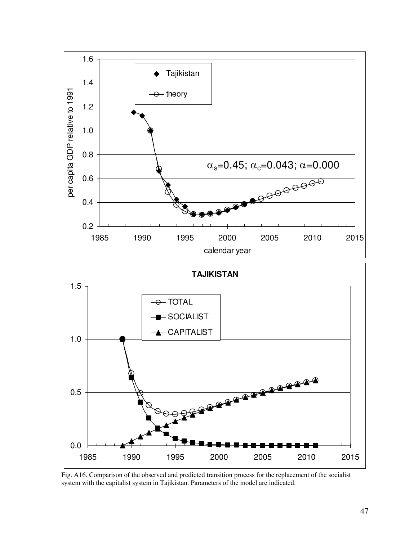

Fig. A16. Comparison of the observed and predicted transition process for the replacement of the socialist system with the capitalist system in Tajikistan. Parameters of the model are indicated.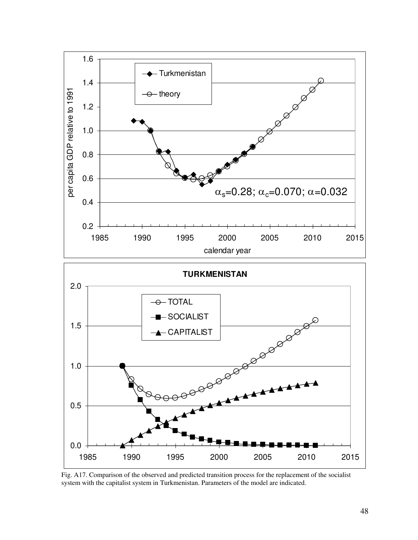

Fig. A17. Comparison of the observed and predicted transition process for the replacement of the socialist system with the capitalist system in Turkmenistan. Parameters of the model are indicated.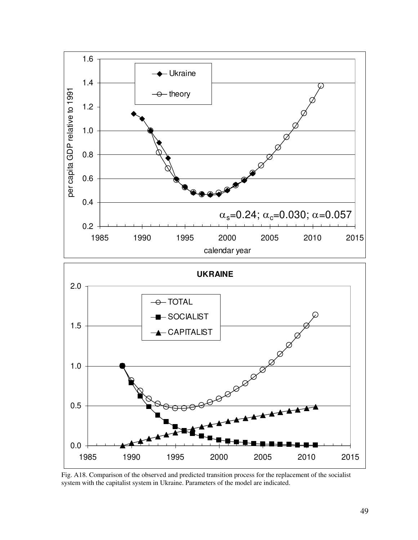

Fig. A18. Comparison of the observed and predicted transition process for the replacement of the socialist system with the capitalist system in Ukraine. Parameters of the model are indicated.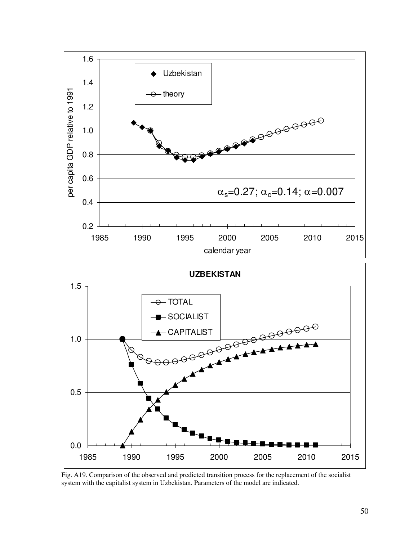

Fig. A19. Comparison of the observed and predicted transition process for the replacement of the socialist system with the capitalist system in Uzbekistan. Parameters of the model are indicated.